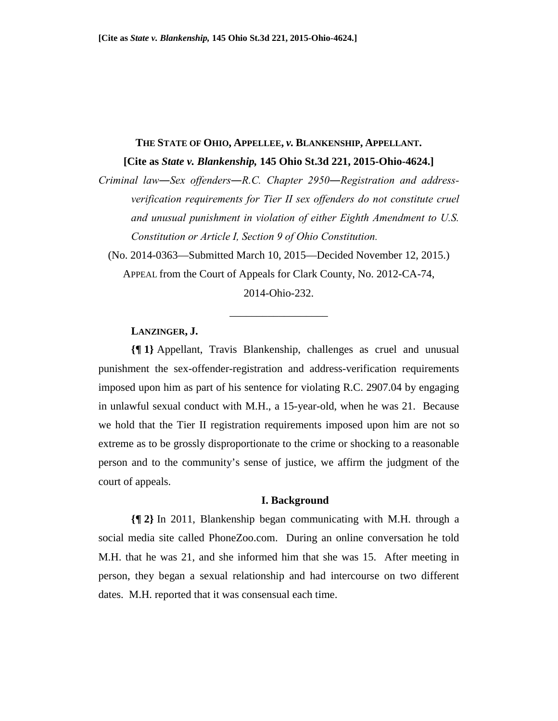# **THE STATE OF OHIO, APPELLEE,** *v.* **BLANKENSHIP, APPELLANT.**

**[Cite as** *State v. Blankenship,* **145 Ohio St.3d 221, 2015-Ohio-4624.]** 

*Criminal law―Sex offenders―R.C. Chapter 2950―Registration and addressverification requirements for Tier II sex offenders do not constitute cruel and unusual punishment in violation of either Eighth Amendment to U.S. Constitution or Article I, Section 9 of Ohio Constitution.*

(No. 2014-0363—Submitted March 10, 2015—Decided November 12, 2015.) APPEAL from the Court of Appeals for Clark County, No. 2012-CA-74,

2014-Ohio-232.

\_\_\_\_\_\_\_\_\_\_\_\_\_\_\_\_\_\_

## **LANZINGER, J.**

**{¶ 1}** Appellant, Travis Blankenship, challenges as cruel and unusual punishment the sex-offender-registration and address-verification requirements imposed upon him as part of his sentence for violating R.C. 2907.04 by engaging in unlawful sexual conduct with M.H., a 15-year-old, when he was 21. Because we hold that the Tier II registration requirements imposed upon him are not so extreme as to be grossly disproportionate to the crime or shocking to a reasonable person and to the community's sense of justice, we affirm the judgment of the court of appeals.

#### **I. Background**

**{¶ 2}** In 2011, Blankenship began communicating with M.H. through a social media site called PhoneZoo.com. During an online conversation he told M.H. that he was 21, and she informed him that she was 15. After meeting in person, they began a sexual relationship and had intercourse on two different dates. M.H. reported that it was consensual each time.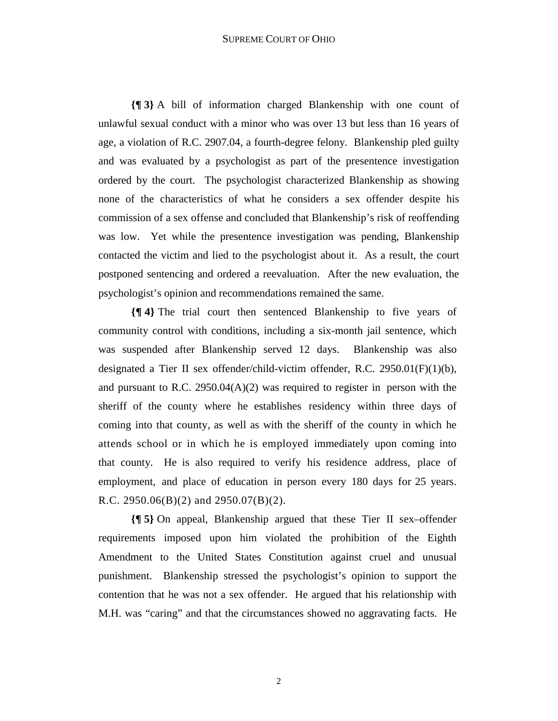#### SUPREME COURT OF OHIO

**{¶ 3}** A bill of information charged Blankenship with one count of unlawful sexual conduct with a minor who was over 13 but less than 16 years of age, a violation of R.C. 2907.04, a fourth-degree felony. Blankenship pled guilty and was evaluated by a psychologist as part of the presentence investigation ordered by the court. The psychologist characterized Blankenship as showing none of the characteristics of what he considers a sex offender despite his commission of a sex offense and concluded that Blankenship's risk of reoffending was low. Yet while the presentence investigation was pending, Blankenship contacted the victim and lied to the psychologist about it. As a result, the court postponed sentencing and ordered a reevaluation. After the new evaluation, the psychologist's opinion and recommendations remained the same.

**{¶ 4}** The trial court then sentenced Blankenship to five years of community control with conditions, including a six-month jail sentence, which was suspended after Blankenship served 12 days. Blankenship was also designated a Tier II sex offender/child-victim offender, R.C. 2950.01 $(F)(1)(b)$ , and pursuant to R.C. 2950.04 $(A)(2)$  was required to register in person with the sheriff of the county where he establishes residency within three days of coming into that county, as well as with the sheriff of the county in which he attends school or in which he is employed immediately upon coming into that county. He is also required to verify his residence address, place of employment, and place of education in person every 180 days for 25 years. R.C. 2950.06(B)(2) and 2950.07(B)(2).

**{¶ 5}** On appeal, Blankenship argued that these Tier II sex–offender requirements imposed upon him violated the prohibition of the Eighth Amendment to the United States Constitution against cruel and unusual punishment. Blankenship stressed the psychologist's opinion to support the contention that he was not a sex offender. He argued that his relationship with M.H. was "caring" and that the circumstances showed no aggravating facts. He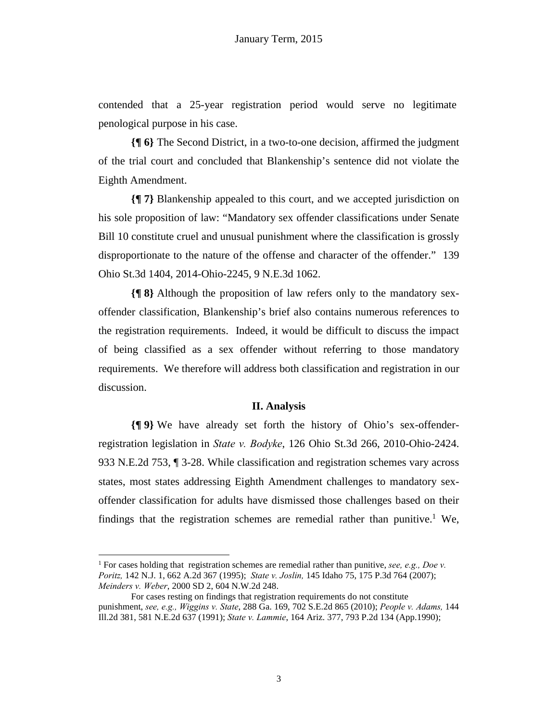contended that a 25-year registration period would serve no legitimate penological purpose in his case.

**{¶ 6}** The Second District, in a two-to-one decision, affirmed the judgment of the trial court and concluded that Blankenship's sentence did not violate the Eighth Amendment.

**{¶ 7}** Blankenship appealed to this court, and we accepted jurisdiction on his sole proposition of law: "Mandatory sex offender classifications under Senate Bill 10 constitute cruel and unusual punishment where the classification is grossly disproportionate to the nature of the offense and character of the offender." 139 Ohio St.3d 1404, 2014-Ohio-2245, 9 N.E.3d 1062.

**{¶ 8}** Although the proposition of law refers only to the mandatory sexoffender classification, Blankenship's brief also contains numerous references to the registration requirements. Indeed, it would be difficult to discuss the impact of being classified as a sex offender without referring to those mandatory requirements. We therefore will address both classification and registration in our discussion.

### **II. Analysis**

**{¶ 9}** We have already set forth the history of Ohio's sex-offenderregistration legislation in *State v. Bodyke*, 126 Ohio St.3d 266, 2010-Ohio-2424. 933 N.E.2d 753, ¶ 3-28. While classification and registration schemes vary across states, most states addressing Eighth Amendment challenges to mandatory sexoffender classification for adults have dismissed those challenges based on their findings that the registration schemes are remedial rather than punitive.<sup>1</sup> We,

1

<sup>&</sup>lt;sup>1</sup> For cases holding that registration schemes are remedial rather than punitive, see, e.g., Doe v. *Poritz,* 142 N.J. 1, 662 A.2d 367 (1995); *State v. Joslin,* 145 Idaho 75, 175 P.3d 764 (2007); *Meinders v. Weber*, 2000 SD 2, 604 N.W.2d 248.

For cases resting on findings that registration requirements do not constitute punishment, *see, e.g., Wiggins v. State*, 288 Ga. 169, 702 S.E.2d 865 (2010); *People v. Adams,* 144 Ill.2d 381, 581 N.E.2d 637 (1991); *State v. Lammie*, 164 Ariz. 377, 793 P.2d 134 (App.1990);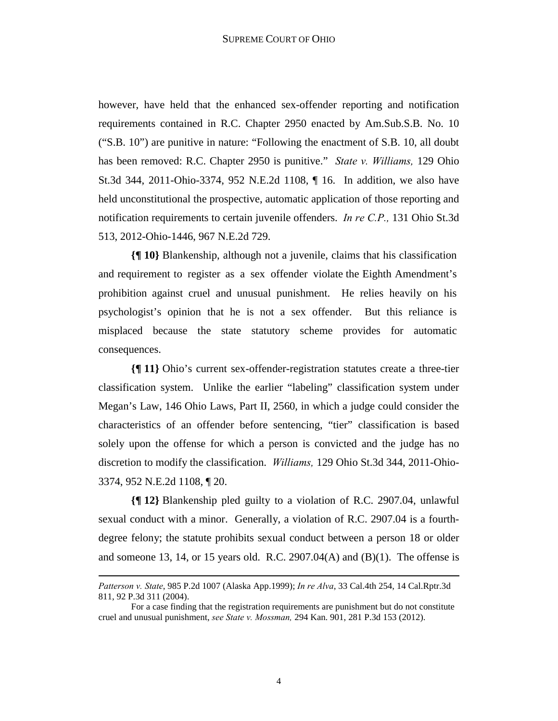however, have held that the enhanced sex-offender reporting and notification requirements contained in R.C. Chapter 2950 enacted by Am.Sub.S.B. No. 10 ("S.B. 10") are punitive in nature: "Following the enactment of S.B. 10, all doubt has been removed: R.C. Chapter 2950 is punitive." *State v. Williams,* 129 Ohio St.3d 344, 2011-Ohio-3374, 952 N.E.2d 1108, ¶ 16. In addition, we also have held unconstitutional the prospective, automatic application of those reporting and notification requirements to certain juvenile offenders. *In re C.P.,* 131 Ohio St.3d 513, 2012-Ohio-1446, 967 N.E.2d 729.

**{¶ 10}** Blankenship, although not a juvenile, claims that his classification and requirement to register as a sex offender violate the Eighth Amendment's prohibition against cruel and unusual punishment. He relies heavily on his psychologist's opinion that he is not a sex offender. But this reliance is misplaced because the state statutory scheme provides for automatic consequences.

**{¶ 11}** Ohio's current sex-offender-registration statutes create a three-tier classification system. Unlike the earlier "labeling" classification system under Megan's Law, 146 Ohio Laws, Part II, 2560, in which a judge could consider the characteristics of an offender before sentencing, "tier" classification is based solely upon the offense for which a person is convicted and the judge has no discretion to modify the classification. *Williams,* 129 Ohio St.3d 344, 2011-Ohio-3374, 952 N.E.2d 1108, ¶ 20.

**{¶ 12}** Blankenship pled guilty to a violation of R.C. 2907.04, unlawful sexual conduct with a minor. Generally, a violation of R.C. 2907.04 is a fourthdegree felony; the statute prohibits sexual conduct between a person 18 or older and someone 13, 14, or 15 years old. R.C. 2907.04(A) and  $(B)(1)$ . The offense is

**.** 

*Patterson v. State*, 985 P.2d 1007 (Alaska App.1999); *In re Alva*, 33 Cal.4th 254, 14 Cal.Rptr.3d 811, 92 P.3d 311 (2004).

For a case finding that the registration requirements are punishment but do not constitute cruel and unusual punishment, *see State v. Mossman,* 294 Kan. 901, 281 P.3d 153 (2012).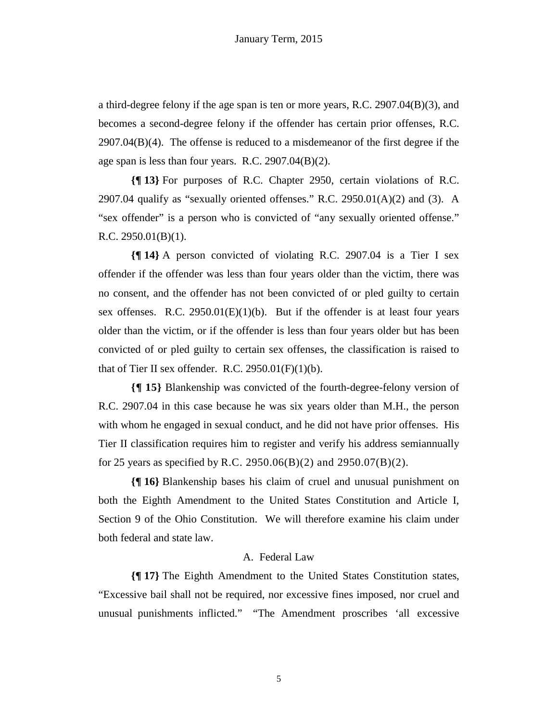a third-degree felony if the age span is ten or more years, R.C. 2907.04(B)(3), and becomes a second-degree felony if the offender has certain prior offenses, R.C.  $2907.04(B)(4)$ . The offense is reduced to a misdemeanor of the first degree if the age span is less than four years. R.C. 2907.04(B)(2).

**{¶ 13}** For purposes of R.C. Chapter 2950, certain violations of R.C. 2907.04 qualify as "sexually oriented offenses." R.C. 2950.01(A)(2) and (3). A "sex offender" is a person who is convicted of "any sexually oriented offense." R.C.  $2950.01(B)(1)$ .

**{¶ 14}** A person convicted of violating R.C. 2907.04 is a Tier I sex offender if the offender was less than four years older than the victim, there was no consent, and the offender has not been convicted of or pled guilty to certain sex offenses. R.C.  $2950.01(E)(1)(b)$ . But if the offender is at least four years older than the victim, or if the offender is less than four years older but has been convicted of or pled guilty to certain sex offenses, the classification is raised to that of Tier II sex offender. R.C.  $2950.01(F)(1)(b)$ .

**{¶ 15}** Blankenship was convicted of the fourth-degree-felony version of R.C. 2907.04 in this case because he was six years older than M.H., the person with whom he engaged in sexual conduct, and he did not have prior offenses. His Tier II classification requires him to register and verify his address semiannually for 25 years as specified by R.C. 2950.06(B)(2) and 2950.07(B)(2).

**{¶ 16}** Blankenship bases his claim of cruel and unusual punishment on both the Eighth Amendment to the United States Constitution and Article I, Section 9 of the Ohio Constitution. We will therefore examine his claim under both federal and state law.

### A. Federal Law

**{¶ 17}** The Eighth Amendment to the United States Constitution states, "Excessive bail shall not be required, nor excessive fines imposed, nor cruel and unusual punishments inflicted." "The Amendment proscribes 'all excessive

5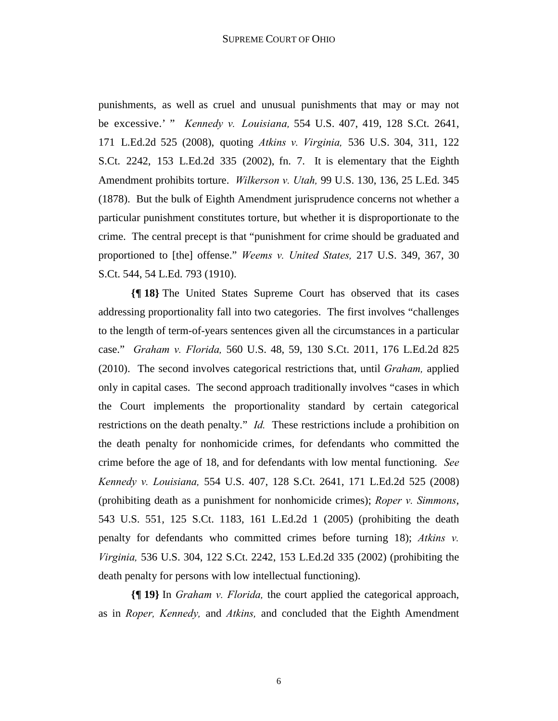punishments, as well as cruel and unusual punishments that may or may not be excessive.' " *Kennedy v. Louisiana,* 554 U.S. 407, 419, 128 S.Ct. 2641, 171 L.Ed.2d 525 (2008), quoting *Atkins v. Virginia,* 536 U.S. 304, 311, 122 S.Ct. 2242, 153 L.Ed.2d 335 (2002), fn. 7. It is elementary that the Eighth Amendment prohibits torture. *Wilkerson v. Utah,* 99 U.S. 130, 136, 25 L.Ed. 345 (1878). But the bulk of Eighth Amendment jurisprudence concerns not whether a particular punishment constitutes torture, but whether it is disproportionate to the crime. The central precept is that "punishment for crime should be graduated and proportioned to [the] offense." *Weems v. United States,* 217 U.S. 349, 367, 30 S.Ct. 544, 54 L.Ed. 793 (1910).

**{¶ 18}** The United States Supreme Court has observed that its cases addressing proportionality fall into two categories. The first involves "challenges to the length of term-of-years sentences given all the circumstances in a particular case." *Graham v. Florida,* 560 U.S. 48, 59, 130 S.Ct. 2011, 176 L.Ed.2d 825 (2010). The second involves categorical restrictions that, until *Graham,* applied only in capital cases. The second approach traditionally involves "cases in which the Court implements the proportionality standard by certain categorical restrictions on the death penalty." *Id.* These restrictions include a prohibition on the death penalty for nonhomicide crimes, for defendants who committed the crime before the age of 18, and for defendants with low mental functioning. *See Kennedy v. Louisiana,* 554 U.S. 407, 128 S.Ct. 2641, 171 L.Ed.2d 525 (2008) (prohibiting death as a punishment for nonhomicide crimes); *Roper v. Simmons*, 543 U.S. 551, 125 S.Ct. 1183, 161 L.Ed.2d 1 (2005) (prohibiting the death penalty for defendants who committed crimes before turning 18); *Atkins v. Virginia,* 536 U.S. 304, 122 S.Ct. 2242, 153 L.Ed.2d 335 (2002) (prohibiting the death penalty for persons with low intellectual functioning).

**{¶ 19}** In *Graham v. Florida,* the court applied the categorical approach, as in *Roper, Kennedy,* and *Atkins,* and concluded that the Eighth Amendment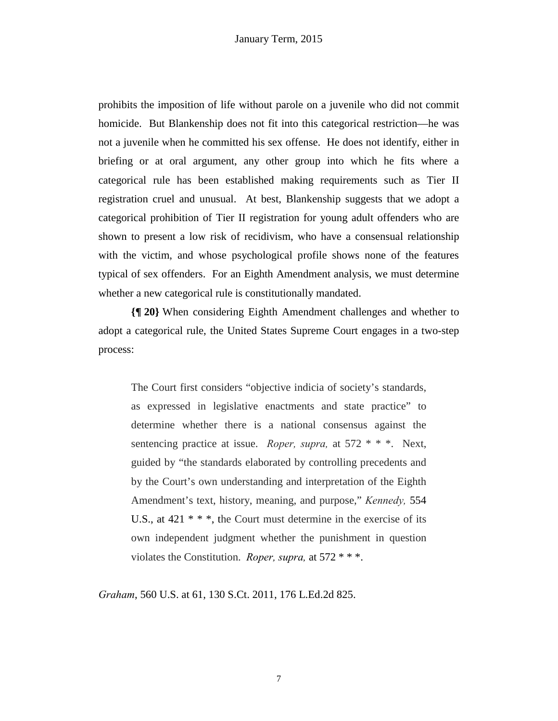prohibits the imposition of life without parole on a juvenile who did not commit homicide. But Blankenship does not fit into this categorical restriction—he was not a juvenile when he committed his sex offense. He does not identify, either in briefing or at oral argument, any other group into which he fits where a categorical rule has been established making requirements such as Tier II registration cruel and unusual. At best, Blankenship suggests that we adopt a categorical prohibition of Tier II registration for young adult offenders who are shown to present a low risk of recidivism, who have a consensual relationship with the victim, and whose psychological profile shows none of the features typical of sex offenders. For an Eighth Amendment analysis, we must determine whether a new categorical rule is constitutionally mandated.

**{¶ 20}** When considering Eighth Amendment challenges and whether to adopt a categorical rule, the United States Supreme Court engages in a two-step process:

The Court first considers "objective indicia of society's standards, as expressed in legislative enactments and state practice" to determine whether there is a national consensus against the sentencing practice at issue. *Roper, supra,* at 572 \* \* \*. Next, guided by "the standards elaborated by controlling precedents and by the Court's own understanding and interpretation of the Eighth Amendment's text, history, meaning, and purpose," *Kennedy,* 554 U.S., at  $421$  \* \* \*, the Court must determine in the exercise of its own independent judgment whether the punishment in question violates the Constitution. *Roper, supra,* at 572 \* \* \*.

*Graham*, 560 U.S. at 61, 130 S.Ct. 2011, 176 L.Ed.2d 825.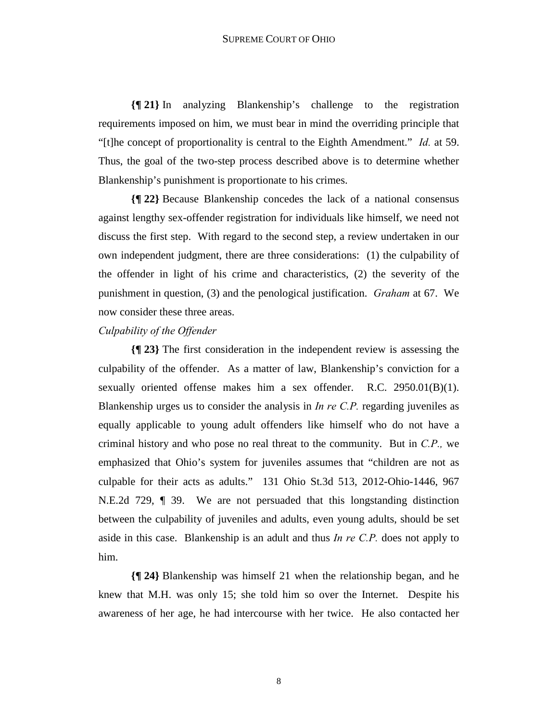**{¶ 21}** In analyzing Blankenship's challenge to the registration requirements imposed on him, we must bear in mind the overriding principle that "[t]he concept of proportionality is central to the Eighth Amendment." *Id.* at 59. Thus, the goal of the two-step process described above is to determine whether Blankenship's punishment is proportionate to his crimes.

**{¶ 22}** Because Blankenship concedes the lack of a national consensus against lengthy sex-offender registration for individuals like himself, we need not discuss the first step. With regard to the second step, a review undertaken in our own independent judgment, there are three considerations: (1) the culpability of the offender in light of his crime and characteristics, (2) the severity of the punishment in question, (3) and the penological justification. *Graham* at 67. We now consider these three areas.

#### *Culpability of the Offender*

**{¶ 23}** The first consideration in the independent review is assessing the culpability of the offender. As a matter of law, Blankenship's conviction for a sexually oriented offense makes him a sex offender. R.C. 2950.01(B)(1). Blankenship urges us to consider the analysis in *In re C.P.* regarding juveniles as equally applicable to young adult offenders like himself who do not have a criminal history and who pose no real threat to the community. But in *C.P.,* we emphasized that Ohio's system for juveniles assumes that "children are not as culpable for their acts as adults." 131 Ohio St.3d 513, 2012-Ohio-1446, 967 N.E.2d 729, ¶ 39. We are not persuaded that this longstanding distinction between the culpability of juveniles and adults, even young adults, should be set aside in this case. Blankenship is an adult and thus *In re C.P.* does not apply to him.

**{¶ 24}** Blankenship was himself 21 when the relationship began, and he knew that M.H. was only 15; she told him so over the Internet. Despite his awareness of her age, he had intercourse with her twice. He also contacted her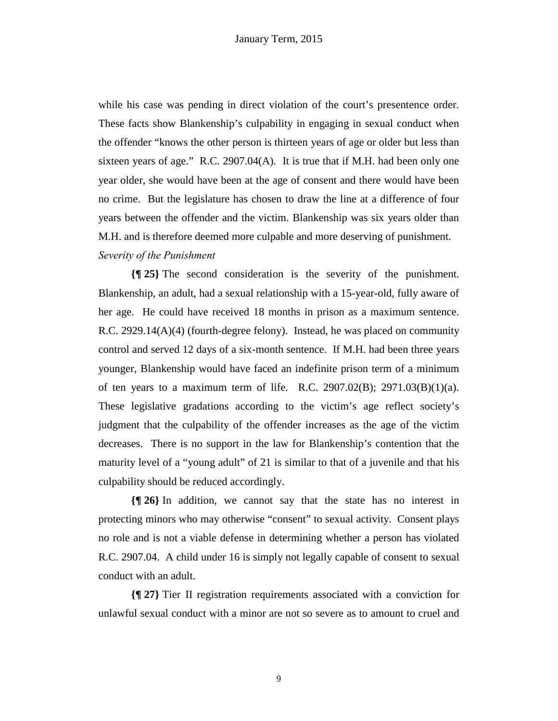while his case was pending in direct violation of the court's presentence order. These facts show Blankenship's culpability in engaging in sexual conduct when the offender "knows the other person is thirteen years of age or older but less than sixteen years of age." R.C. 2907.04(A). It is true that if M.H. had been only one year older, she would have been at the age of consent and there would have been no crime. But the legislature has chosen to draw the line at a difference of four years between the offender and the victim. Blankenship was six years older than M.H. and is therefore deemed more culpable and more deserving of punishment. *Severity of the Punishment*

**{¶ 25}** The second consideration is the severity of the punishment. Blankenship, an adult, had a sexual relationship with a 15-year-old, fully aware of her age. He could have received 18 months in prison as a maximum sentence. R.C. 2929.14(A)(4) (fourth-degree felony). Instead, he was placed on community control and served 12 days of a six-month sentence. If M.H. had been three years younger, Blankenship would have faced an indefinite prison term of a minimum of ten years to a maximum term of life. R.C. 2907.02(B); 2971.03(B)(1)(a). These legislative gradations according to the victim's age reflect society's judgment that the culpability of the offender increases as the age of the victim decreases. There is no support in the law for Blankenship's contention that the maturity level of a "young adult" of 21 is similar to that of a juvenile and that his culpability should be reduced accordingly.

**{¶ 26}** In addition, we cannot say that the state has no interest in protecting minors who may otherwise "consent" to sexual activity. Consent plays no role and is not a viable defense in determining whether a person has violated R.C. 2907.04. A child under 16 is simply not legally capable of consent to sexual conduct with an adult.

**{¶ 27}** Tier II registration requirements associated with a conviction for unlawful sexual conduct with a minor are not so severe as to amount to cruel and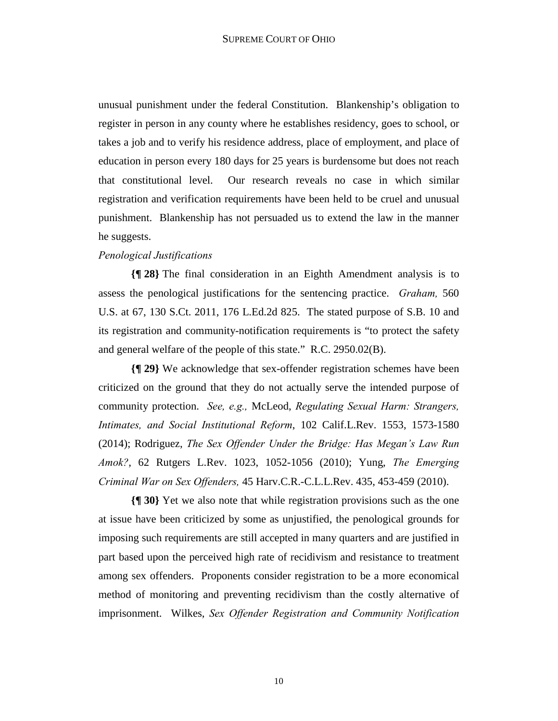unusual punishment under the federal Constitution. Blankenship's obligation to register in person in any county where he establishes residency, goes to school, or takes a job and to verify his residence address, place of employment, and place of education in person every 180 days for 25 years is burdensome but does not reach that constitutional level. Our research reveals no case in which similar registration and verification requirements have been held to be cruel and unusual punishment. Blankenship has not persuaded us to extend the law in the manner he suggests.

### *Penological Justifications*

**{¶ 28}** The final consideration in an Eighth Amendment analysis is to assess the penological justifications for the sentencing practice. *Graham,* 560 U.S. at 67, 130 S.Ct. 2011, 176 L.Ed.2d 825. The stated purpose of S.B. 10 and its registration and community-notification requirements is "to protect the safety and general welfare of the people of this state." R.C. 2950.02(B).

**{¶ 29}** We acknowledge that sex-offender registration schemes have been criticized on the ground that they do not actually serve the intended purpose of community protection. *See, e.g.,* McLeod, *Regulating Sexual Harm: Strangers, Intimates, and Social Institutional Reform*, 102 Calif.L.Rev. 1553, 1573-1580 (2014); Rodriguez, *The Sex Offender Under the Bridge: Has Megan's Law Run Amok?*, 62 Rutgers L.Rev. 1023, 1052-1056 (2010); Yung, *The Emerging Criminal War on Sex Offenders,* 45 Harv.C.R.-C.L.L.Rev. 435, 453-459 (2010).

**{¶ 30}** Yet we also note that while registration provisions such as the one at issue have been criticized by some as unjustified, the penological grounds for imposing such requirements are still accepted in many quarters and are justified in part based upon the perceived high rate of recidivism and resistance to treatment among sex offenders. Proponents consider registration to be a more economical method of monitoring and preventing recidivism than the costly alternative of imprisonment. Wilkes, *Sex Offender Registration and Community Notification*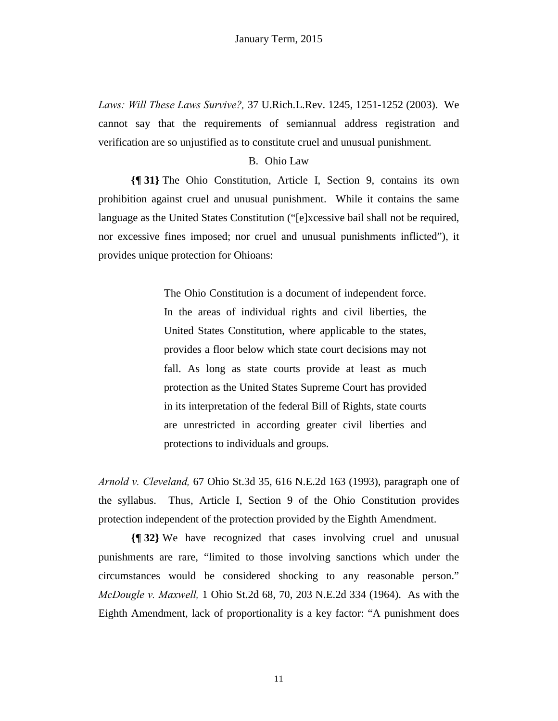*Laws: Will These Laws Survive?,* 37 U.Rich.L.Rev. 1245, 1251-1252 (2003). We cannot say that the requirements of semiannual address registration and verification are so unjustified as to constitute cruel and unusual punishment.

### B. Ohio Law

**{¶ 31}** The Ohio Constitution, Article I, Section 9, contains its own prohibition against cruel and unusual punishment. While it contains the same language as the United States Constitution ("[e]xcessive bail shall not be required, nor excessive fines imposed; nor cruel and unusual punishments inflicted"), it provides unique protection for Ohioans:

> The Ohio Constitution is a document of independent force. In the areas of individual rights and civil liberties, the United States Constitution, where applicable to the states, provides a floor below which state court decisions may not fall. As long as state courts provide at least as much protection as the United States Supreme Court has provided in its interpretation of the federal Bill of Rights, state courts are unrestricted in according greater civil liberties and protections to individuals and groups.

*Arnold v. Cleveland,* 67 Ohio St.3d 35, 616 N.E.2d 163 (1993), paragraph one of the syllabus. Thus, Article I, Section 9 of the Ohio Constitution provides protection independent of the protection provided by the Eighth Amendment.

**{¶ 32}** We have recognized that cases involving cruel and unusual punishments are rare, "limited to those involving sanctions which under the circumstances would be considered shocking to any reasonable person." *McDougle v. Maxwell,* 1 Ohio St.2d 68, 70, 203 N.E.2d 334 (1964). As with the Eighth Amendment, lack of proportionality is a key factor: "A punishment does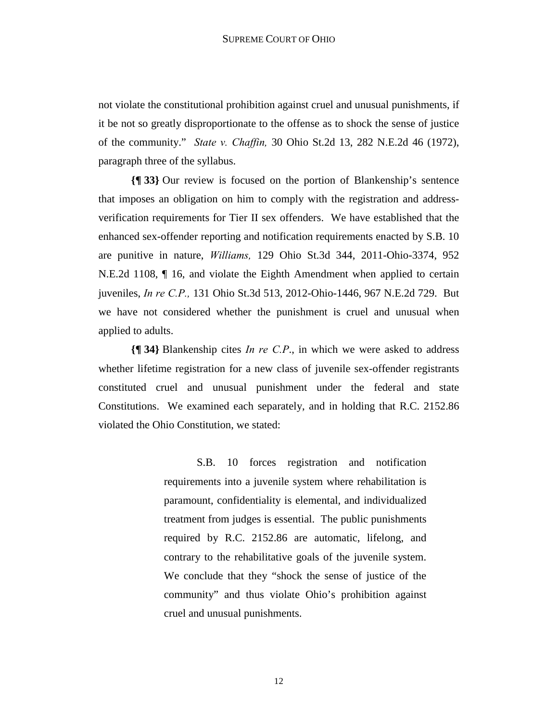not violate the constitutional prohibition against cruel and unusual punishments, if it be not so greatly disproportionate to the offense as to shock the sense of justice of the community." *State v. Chaffin,* 30 Ohio St.2d 13, 282 N.E.2d 46 (1972), paragraph three of the syllabus.

**{¶ 33}** Our review is focused on the portion of Blankenship's sentence that imposes an obligation on him to comply with the registration and addressverification requirements for Tier II sex offenders. We have established that the enhanced sex-offender reporting and notification requirements enacted by S.B. 10 are punitive in nature, *Williams,* 129 Ohio St.3d 344, 2011-Ohio-3374, 952 N.E.2d 1108, ¶ 16, and violate the Eighth Amendment when applied to certain juveniles, *In re C.P.,* 131 Ohio St.3d 513, 2012-Ohio-1446, 967 N.E.2d 729. But we have not considered whether the punishment is cruel and unusual when applied to adults.

**{¶ 34}** Blankenship cites *In re C.P*., in which we were asked to address whether lifetime registration for a new class of juvenile sex-offender registrants constituted cruel and unusual punishment under the federal and state Constitutions. We examined each separately, and in holding that R.C. 2152.86 violated the Ohio Constitution, we stated:

> S.B. 10 forces registration and notification requirements into a juvenile system where rehabilitation is paramount, confidentiality is elemental, and individualized treatment from judges is essential. The public punishments required by R.C. 2152.86 are automatic, lifelong, and contrary to the rehabilitative goals of the juvenile system. We conclude that they "shock the sense of justice of the community" and thus violate Ohio's prohibition against cruel and unusual punishments.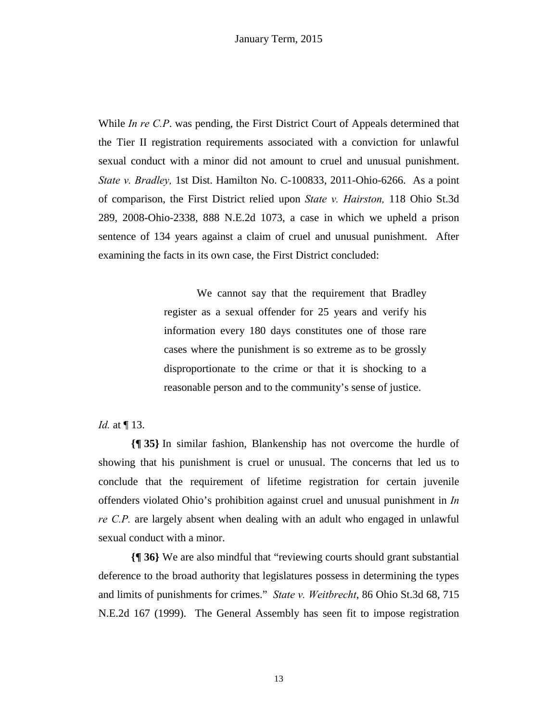While *In re C.P*. was pending, the First District Court of Appeals determined that the Tier II registration requirements associated with a conviction for unlawful sexual conduct with a minor did not amount to cruel and unusual punishment. *State v. Bradley,* 1st Dist. Hamilton No. C-100833, 2011-Ohio-6266. As a point of comparison, the First District relied upon *State v. Hairston,* 118 Ohio St.3d 289, 2008-Ohio-2338, 888 N.E.2d 1073, a case in which we upheld a prison sentence of 134 years against a claim of cruel and unusual punishment. After examining the facts in its own case, the First District concluded:

> We cannot say that the requirement that Bradley register as a sexual offender for 25 years and verify his information every 180 days constitutes one of those rare cases where the punishment is so extreme as to be grossly disproportionate to the crime or that it is shocking to a reasonable person and to the community's sense of justice.

*Id.* at ¶ 13.

**{¶ 35}** In similar fashion, Blankenship has not overcome the hurdle of showing that his punishment is cruel or unusual. The concerns that led us to conclude that the requirement of lifetime registration for certain juvenile offenders violated Ohio's prohibition against cruel and unusual punishment in *In re C.P.* are largely absent when dealing with an adult who engaged in unlawful sexual conduct with a minor.

**{¶ 36}** We are also mindful that "reviewing courts should grant substantial deference to the broad authority that legislatures possess in determining the types and limits of punishments for crimes." *State v. Weitbrecht*, 86 Ohio St.3d 68, 715 N.E.2d 167 (1999). The General Assembly has seen fit to impose registration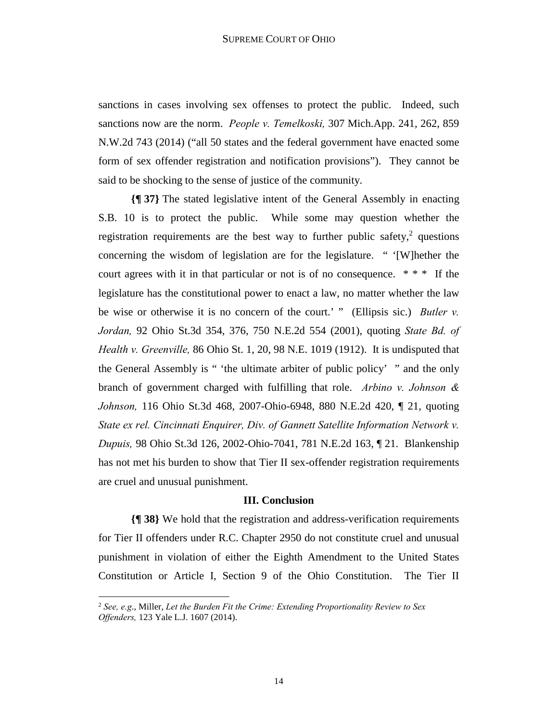sanctions in cases involving sex offenses to protect the public. Indeed, such sanctions now are the norm. *People v. Temelkoski,* 307 Mich.App. 241, 262, 859 N.W.2d 743 (2014) ("all 50 states and the federal government have enacted some form of sex offender registration and notification provisions"). They cannot be said to be shocking to the sense of justice of the community.

**{¶ 37}** The stated legislative intent of the General Assembly in enacting S.B. 10 is to protect the public. While some may question whether the registration requirements are the best way to further public safety, $2$  questions concerning the wisdom of legislation are for the legislature. " '[W]hether the court agrees with it in that particular or not is of no consequence. \* \* \* If the legislature has the constitutional power to enact a law, no matter whether the law be wise or otherwise it is no concern of the court.' " (Ellipsis sic.) *Butler v. Jordan,* 92 Ohio St.3d 354, 376, 750 N.E.2d 554 (2001), quoting *State Bd. of Health v. Greenville,* 86 Ohio St. 1, 20, 98 N.E. 1019 (1912). It is undisputed that the General Assembly is " 'the ultimate arbiter of public policy' " and the only branch of government charged with fulfilling that role. *Arbino v. Johnson & Johnson,* 116 Ohio St.3d 468, 2007-Ohio-6948, 880 N.E.2d 420, ¶ 21, quoting *State ex rel. Cincinnati Enquirer, Div. of Gannett Satellite Information Network v. Dupuis,* 98 Ohio St.3d 126, 2002-Ohio-7041, 781 N.E.2d 163, ¶ 21. Blankenship has not met his burden to show that Tier II sex-offender registration requirements are cruel and unusual punishment.

### **III. Conclusion**

**{¶ 38}** We hold that the registration and address-verification requirements for Tier II offenders under R.C. Chapter 2950 do not constitute cruel and unusual punishment in violation of either the Eighth Amendment to the United States Constitution or Article I, Section 9 of the Ohio Constitution. The Tier II

**.** 

<sup>2</sup> *See, e.g*., Miller, *Let the Burden Fit the Crime: Extending Proportionality Review to Sex Offenders,* 123 Yale L.J. 1607 (2014).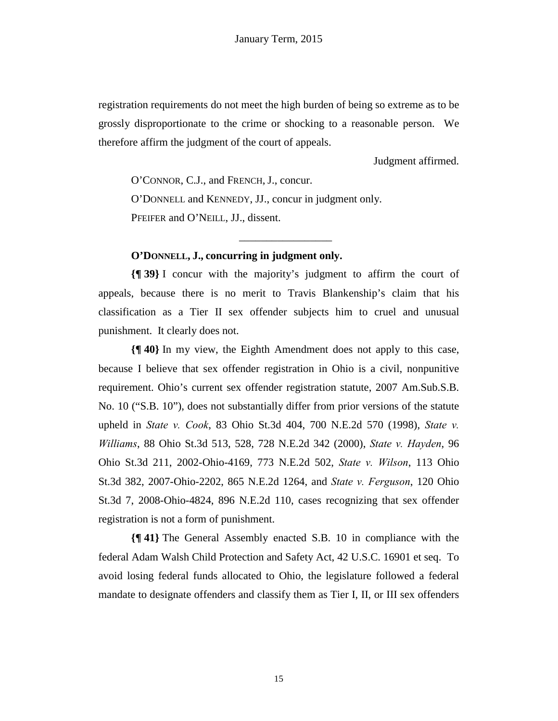registration requirements do not meet the high burden of being so extreme as to be grossly disproportionate to the crime or shocking to a reasonable person. We therefore affirm the judgment of the court of appeals.

Judgment affirmed.

O'CONNOR, C.J., and FRENCH, J., concur. O'DONNELL and KENNEDY, JJ., concur in judgment only. PFEIFER and O'NEILL, JJ., dissent.

# **O'DONNELL, J., concurring in judgment only.**

**{¶ 39}** I concur with the majority's judgment to affirm the court of appeals, because there is no merit to Travis Blankenship's claim that his classification as a Tier II sex offender subjects him to cruel and unusual punishment. It clearly does not.

\_\_\_\_\_\_\_\_\_\_\_\_\_\_\_\_\_

**{¶ 40}** In my view, the Eighth Amendment does not apply to this case, because I believe that sex offender registration in Ohio is a civil, nonpunitive requirement. Ohio's current sex offender registration statute, 2007 Am.Sub.S.B. No. 10 ("S.B. 10"), does not substantially differ from prior versions of the statute upheld in *State v. Cook*, 83 Ohio St.3d 404, 700 N.E.2d 570 (1998), *State v. Williams*, 88 Ohio St.3d 513, 528, 728 N.E.2d 342 (2000), *State v. Hayden*, 96 Ohio St.3d 211, 2002-Ohio-4169, 773 N.E.2d 502, *State v. Wilson*, 113 Ohio St.3d 382, 2007-Ohio-2202, 865 N.E.2d 1264, and *State v. Ferguson*, 120 Ohio St.3d 7, 2008-Ohio-4824, 896 N.E.2d 110, cases recognizing that sex offender registration is not a form of punishment.

**{¶ 41}** The General Assembly enacted S.B. 10 in compliance with the federal Adam Walsh Child Protection and Safety Act, 42 U.S.C. 16901 et seq. To avoid losing federal funds allocated to Ohio, the legislature followed a federal mandate to designate offenders and classify them as Tier I, II, or III sex offenders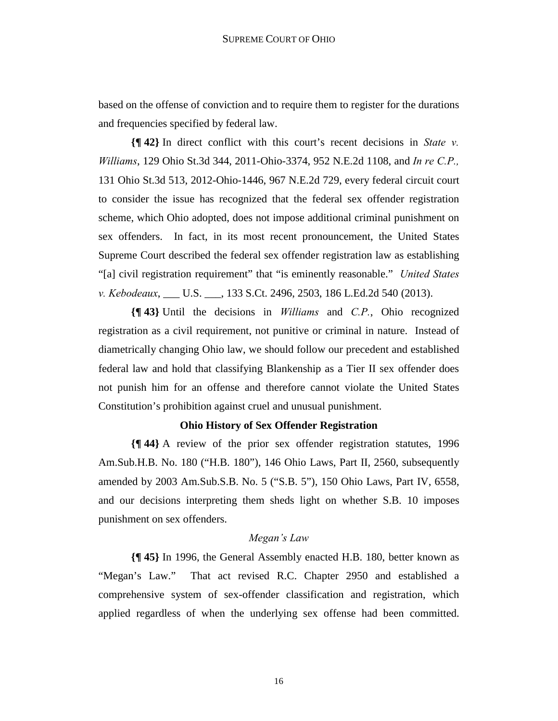based on the offense of conviction and to require them to register for the durations and frequencies specified by federal law.

**{¶ 42}** In direct conflict with this court's recent decisions in *State v. Williams*, 129 Ohio St.3d 344, 2011-Ohio-3374, 952 N.E.2d 1108, and *In re C.P.,* 131 Ohio St.3d 513, 2012-Ohio-1446, 967 N.E.2d 729, every federal circuit court to consider the issue has recognized that the federal sex offender registration scheme, which Ohio adopted, does not impose additional criminal punishment on sex offenders. In fact, in its most recent pronouncement, the United States Supreme Court described the federal sex offender registration law as establishing "[a] civil registration requirement" that "is eminently reasonable." *United States v. Kebodeaux*, \_\_\_ U.S. \_\_\_, 133 S.Ct. 2496, 2503, 186 L.Ed.2d 540 (2013).

**{¶ 43}** Until the decisions in *Williams* and *C.P.*, Ohio recognized registration as a civil requirement, not punitive or criminal in nature. Instead of diametrically changing Ohio law, we should follow our precedent and established federal law and hold that classifying Blankenship as a Tier II sex offender does not punish him for an offense and therefore cannot violate the United States Constitution's prohibition against cruel and unusual punishment.

# **Ohio History of Sex Offender Registration**

**{¶ 44}** A review of the prior sex offender registration statutes, 1996 Am.Sub.H.B. No. 180 ("H.B. 180"), 146 Ohio Laws, Part II, 2560, subsequently amended by 2003 Am.Sub.S.B. No. 5 ("S.B. 5"), 150 Ohio Laws, Part IV, 6558, and our decisions interpreting them sheds light on whether S.B. 10 imposes punishment on sex offenders.

# *Megan's Law*

**{¶ 45}** In 1996, the General Assembly enacted H.B. 180, better known as "Megan's Law." That act revised R.C. Chapter 2950 and established a comprehensive system of sex-offender classification and registration, which applied regardless of when the underlying sex offense had been committed.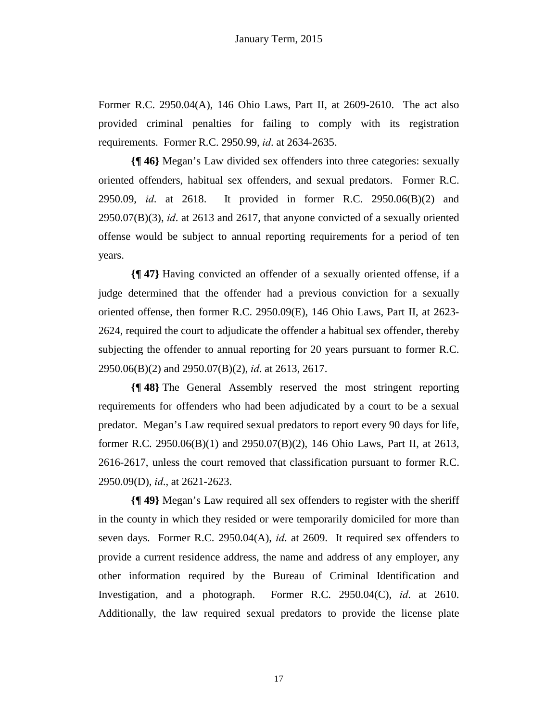Former R.C. 2950.04(A), 146 Ohio Laws, Part II, at 2609-2610. The act also provided criminal penalties for failing to comply with its registration requirements. Former R.C. 2950.99, *id*. at 2634-2635.

**{¶ 46}** Megan's Law divided sex offenders into three categories: sexually oriented offenders, habitual sex offenders, and sexual predators. Former R.C. 2950.09, *id*. at 2618. It provided in former R.C. 2950.06(B)(2) and 2950.07(B)(3), *id*. at 2613 and 2617, that anyone convicted of a sexually oriented offense would be subject to annual reporting requirements for a period of ten years.

**{¶ 47}** Having convicted an offender of a sexually oriented offense, if a judge determined that the offender had a previous conviction for a sexually oriented offense, then former R.C. 2950.09(E), 146 Ohio Laws, Part II, at 2623- 2624, required the court to adjudicate the offender a habitual sex offender, thereby subjecting the offender to annual reporting for 20 years pursuant to former R.C. 2950.06(B)(2) and 2950.07(B)(2), *id*. at 2613, 2617.

**{¶ 48}** The General Assembly reserved the most stringent reporting requirements for offenders who had been adjudicated by a court to be a sexual predator. Megan's Law required sexual predators to report every 90 days for life, former R.C. 2950.06(B)(1) and 2950.07(B)(2), 146 Ohio Laws, Part II, at 2613, 2616-2617, unless the court removed that classification pursuant to former R.C. 2950.09(D), *id*., at 2621-2623.

**{¶ 49}** Megan's Law required all sex offenders to register with the sheriff in the county in which they resided or were temporarily domiciled for more than seven days. Former R.C. 2950.04(A), *id*. at 2609. It required sex offenders to provide a current residence address, the name and address of any employer, any other information required by the Bureau of Criminal Identification and Investigation, and a photograph. Former R.C. 2950.04(C), *id*. at 2610. Additionally, the law required sexual predators to provide the license plate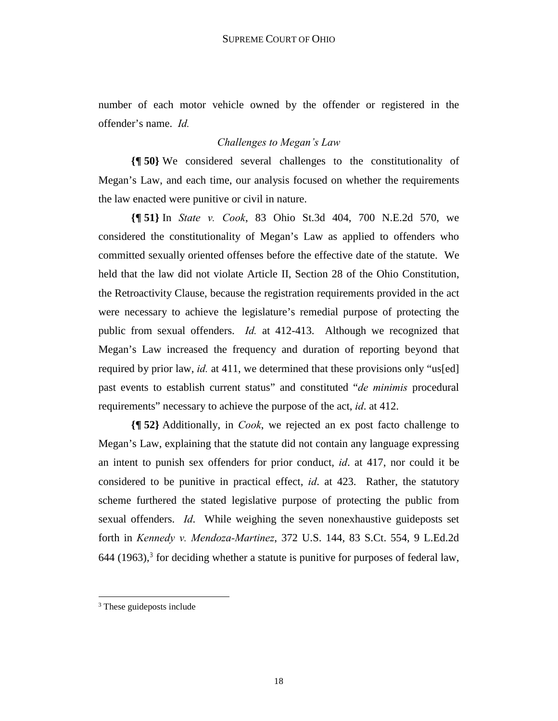number of each motor vehicle owned by the offender or registered in the offender's name. *Id.* 

# *Challenges to Megan's Law*

**{¶ 50}** We considered several challenges to the constitutionality of Megan's Law, and each time, our analysis focused on whether the requirements the law enacted were punitive or civil in nature.

**{¶ 51}** In *State v. Cook*, 83 Ohio St.3d 404, 700 N.E.2d 570, we considered the constitutionality of Megan's Law as applied to offenders who committed sexually oriented offenses before the effective date of the statute. We held that the law did not violate Article II, Section 28 of the Ohio Constitution, the Retroactivity Clause, because the registration requirements provided in the act were necessary to achieve the legislature's remedial purpose of protecting the public from sexual offenders. *Id.* at 412-413. Although we recognized that Megan's Law increased the frequency and duration of reporting beyond that required by prior law, *id.* at 411, we determined that these provisions only "us[ed] past events to establish current status" and constituted "*de minimis* procedural requirements" necessary to achieve the purpose of the act, *id*. at 412.

**{¶ 52}** Additionally, in *Cook*, we rejected an ex post facto challenge to Megan's Law, explaining that the statute did not contain any language expressing an intent to punish sex offenders for prior conduct, *id*. at 417, nor could it be considered to be punitive in practical effect, *id*. at 423. Rather, the statutory scheme furthered the stated legislative purpose of protecting the public from sexual offenders. *Id*. While weighing the seven nonexhaustive guideposts set forth in *Kennedy v. Mendoza-Martinez*, 372 U.S. 144, 83 S.Ct. 554, 9 L.Ed.2d  $644$  (1963),<sup>3</sup> for deciding whether a statute is punitive for purposes of federal law,

**.** 

<sup>&</sup>lt;sup>3</sup> These guideposts include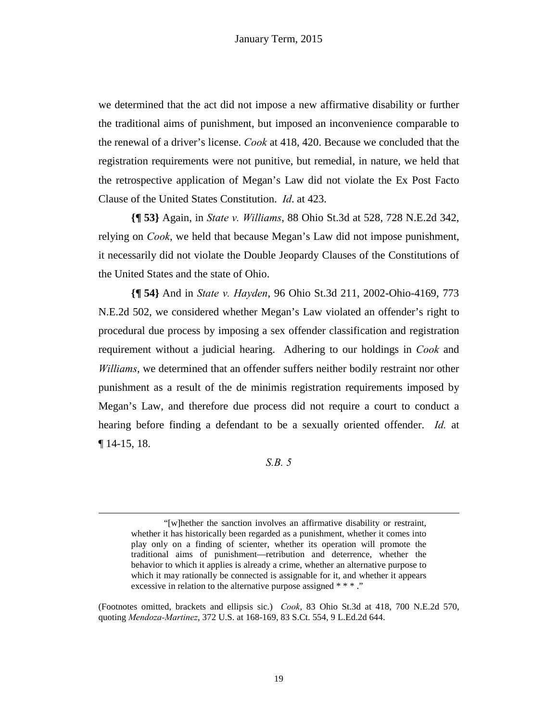we determined that the act did not impose a new affirmative disability or further the traditional aims of punishment, but imposed an inconvenience comparable to the renewal of a driver's license. *Cook* at 418, 420. Because we concluded that the registration requirements were not punitive, but remedial, in nature, we held that the retrospective application of Megan's Law did not violate the Ex Post Facto Clause of the United States Constitution. *Id*. at 423.

**{¶ 53}** Again, in *State v. Williams*, 88 Ohio St.3d at 528, 728 N.E.2d 342, relying on *Cook*, we held that because Megan's Law did not impose punishment, it necessarily did not violate the Double Jeopardy Clauses of the Constitutions of the United States and the state of Ohio.

**{¶ 54}** And in *State v. Hayden*, 96 Ohio St.3d 211, 2002-Ohio-4169, 773 N.E.2d 502, we considered whether Megan's Law violated an offender's right to procedural due process by imposing a sex offender classification and registration requirement without a judicial hearing. Adhering to our holdings in *Cook* and *Williams*, we determined that an offender suffers neither bodily restraint nor other punishment as a result of the de minimis registration requirements imposed by Megan's Law, and therefore due process did not require a court to conduct a hearing before finding a defendant to be a sexually oriented offender. *Id.* at ¶ 14-15, 18.

## *S.B. 5*

**.** 

<sup>&</sup>quot;[w]hether the sanction involves an affirmative disability or restraint, whether it has historically been regarded as a punishment, whether it comes into play only on a finding of scienter, whether its operation will promote the traditional aims of punishment—retribution and deterrence, whether the behavior to which it applies is already a crime, whether an alternative purpose to which it may rationally be connected is assignable for it, and whether it appears excessive in relation to the alternative purpose assigned \* \* \*...

<sup>(</sup>Footnotes omitted, brackets and ellipsis sic.) *Cook*, 83 Ohio St.3d at 418, 700 N.E.2d 570, quoting *Mendoza-Martinez*, 372 U.S. at 168-169, 83 S.Ct. 554, 9 L.Ed.2d 644.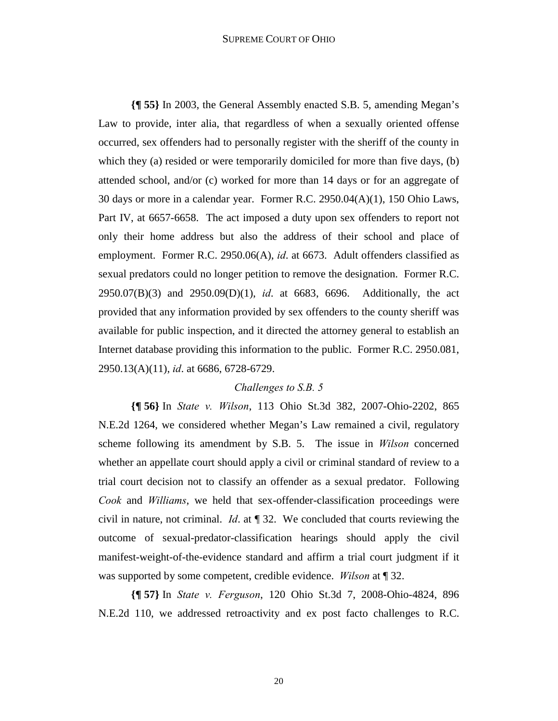#### SUPREME COURT OF OHIO

**{¶ 55}** In 2003, the General Assembly enacted S.B. 5, amending Megan's Law to provide, inter alia, that regardless of when a sexually oriented offense occurred, sex offenders had to personally register with the sheriff of the county in which they (a) resided or were temporarily domiciled for more than five days, (b) attended school, and/or (c) worked for more than 14 days or for an aggregate of 30 days or more in a calendar year. Former R.C. 2950.04(A)(1), 150 Ohio Laws, Part IV, at 6657-6658. The act imposed a duty upon sex offenders to report not only their home address but also the address of their school and place of employment. Former R.C. 2950.06(A), *id*. at 6673. Adult offenders classified as sexual predators could no longer petition to remove the designation. Former R.C. 2950.07(B)(3) and 2950.09(D)(1), *id*. at 6683, 6696. Additionally, the act provided that any information provided by sex offenders to the county sheriff was available for public inspection, and it directed the attorney general to establish an Internet database providing this information to the public. Former R.C. 2950.081, 2950.13(A)(11), *id*. at 6686, 6728-6729.

### *Challenges to S.B. 5*

**{¶ 56}** In *State v. Wilson*, 113 Ohio St.3d 382, 2007-Ohio-2202, 865 N.E.2d 1264, we considered whether Megan's Law remained a civil, regulatory scheme following its amendment by S.B. 5. The issue in *Wilson* concerned whether an appellate court should apply a civil or criminal standard of review to a trial court decision not to classify an offender as a sexual predator. Following *Cook* and *Williams*, we held that sex-offender-classification proceedings were civil in nature, not criminal. *Id*. at ¶ 32. We concluded that courts reviewing the outcome of sexual-predator-classification hearings should apply the civil manifest-weight-of-the-evidence standard and affirm a trial court judgment if it was supported by some competent, credible evidence. *Wilson* at ¶ 32.

**{¶ 57}** In *State v. Ferguson*, 120 Ohio St.3d 7, 2008-Ohio-4824, 896 N.E.2d 110, we addressed retroactivity and ex post facto challenges to R.C.

20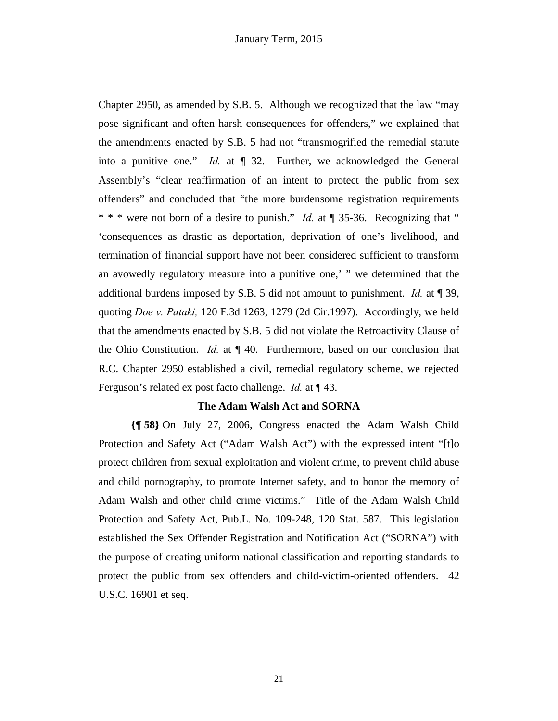Chapter 2950, as amended by S.B. 5. Although we recognized that the law "may pose significant and often harsh consequences for offenders," we explained that the amendments enacted by S.B. 5 had not "transmogrified the remedial statute into a punitive one." *Id.* at ¶ 32. Further, we acknowledged the General Assembly's "clear reaffirmation of an intent to protect the public from sex offenders" and concluded that "the more burdensome registration requirements \* \* \* were not born of a desire to punish." *Id.* at ¶ 35-36. Recognizing that " 'consequences as drastic as deportation, deprivation of one's livelihood, and termination of financial support have not been considered sufficient to transform an avowedly regulatory measure into a punitive one,' " we determined that the additional burdens imposed by S.B. 5 did not amount to punishment. *Id.* at ¶ 39, quoting *Doe v. Pataki,* 120 F.3d 1263, 1279 (2d Cir.1997). Accordingly, we held that the amendments enacted by S.B. 5 did not violate the Retroactivity Clause of the Ohio Constitution. *Id.* at ¶ 40. Furthermore, based on our conclusion that R.C. Chapter 2950 established a civil, remedial regulatory scheme, we rejected Ferguson's related ex post facto challenge. *Id.* at ¶ 43.

### **The Adam Walsh Act and SORNA**

**{¶ 58}** On July 27, 2006, Congress enacted the Adam Walsh Child Protection and Safety Act ("Adam Walsh Act") with the expressed intent "[t]o protect children from sexual exploitation and violent crime, to prevent child abuse and child pornography, to promote Internet safety, and to honor the memory of Adam Walsh and other child crime victims." Title of the Adam Walsh Child Protection and Safety Act, Pub.L. No. 109-248, 120 Stat. 587. This legislation established the Sex Offender Registration and Notification Act ("SORNA") with the purpose of creating uniform national classification and reporting standards to protect the public from sex offenders and child-victim-oriented offenders. 42 U.S.C. 16901 et seq.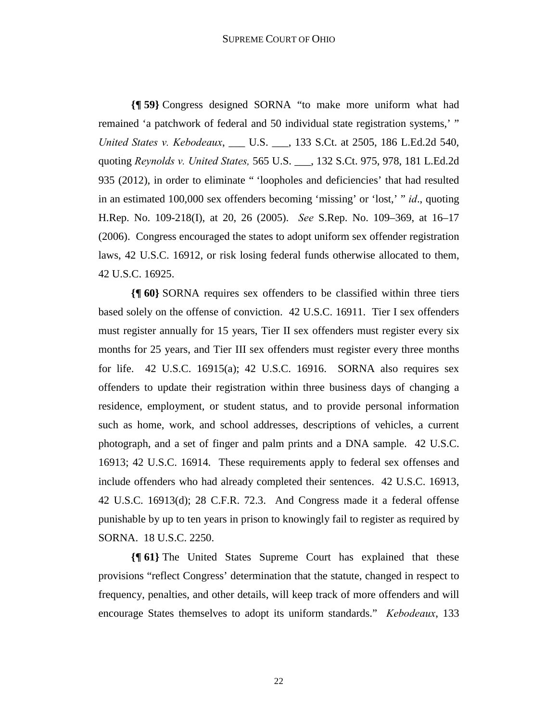**{¶ 59}** Congress designed SORNA "to make more uniform what had remained 'a patchwork of federal and 50 individual state registration systems,' " *United States v. Kebodeaux*, \_\_\_ U.S. \_\_\_, 133 S.Ct. at 2505, 186 L.Ed.2d 540, quoting *Reynolds v. United States,* 565 U.S. \_\_\_, 132 S.Ct. 975, 978, 181 L.Ed.2d 935 (2012), in order to eliminate " 'loopholes and deficiencies' that had resulted in an estimated 100,000 sex offenders becoming 'missing' or 'lost,' " *id*., quoting H.Rep. No. 109-218(I), at 20, 26 (2005). *See* S.Rep. No. 109–369, at 16–17 (2006). Congress encouraged the states to adopt uniform sex offender registration laws, 42 U.S.C. 16912, or risk losing federal funds otherwise allocated to them, 42 U.S.C. 16925.

**{¶ 60}** SORNA requires sex offenders to be classified within three tiers based solely on the offense of conviction. 42 U.S.C. 16911. Tier I sex offenders must register annually for 15 years, Tier II sex offenders must register every six months for 25 years, and Tier III sex offenders must register every three months for life. 42 U.S.C. 16915(a); 42 U.S.C. 16916. SORNA also requires sex offenders to update their registration within three business days of changing a residence, employment, or student status, and to provide personal information such as home, work, and school addresses, descriptions of vehicles, a current photograph, and a set of finger and palm prints and a DNA sample. 42 U.S.C. 16913; 42 U.S.C. 16914. These requirements apply to federal sex offenses and include offenders who had already completed their sentences. 42 U.S.C. 16913, 42 U.S.C. 16913(d); 28 C.F.R. 72.3. And Congress made it a federal offense punishable by up to ten years in prison to knowingly fail to register as required by SORNA. 18 U.S.C. 2250.

**{¶ 61}** The United States Supreme Court has explained that these provisions "reflect Congress' determination that the statute, changed in respect to frequency, penalties, and other details, will keep track of more offenders and will encourage States themselves to adopt its uniform standards." *Kebodeaux*, 133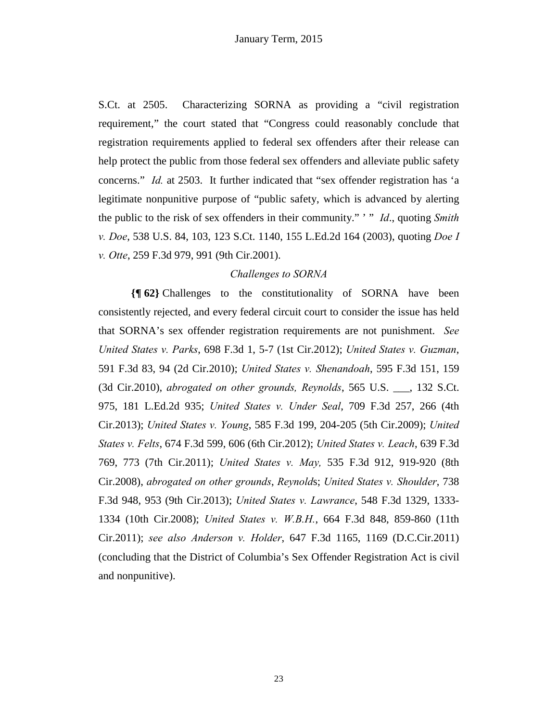S.Ct. at 2505. Characterizing SORNA as providing a "civil registration requirement," the court stated that "Congress could reasonably conclude that registration requirements applied to federal sex offenders after their release can help protect the public from those federal sex offenders and alleviate public safety concerns." *Id.* at 2503. It further indicated that "sex offender registration has 'a legitimate nonpunitive purpose of "public safety, which is advanced by alerting the public to the risk of sex offenders in their community." ' " *Id*., quoting *Smith v. Doe*, 538 U.S. 84, 103, 123 S.Ct. 1140, 155 L.Ed.2d 164 (2003), quoting *Doe I v. Otte*, 259 F.3d 979, 991 (9th Cir.2001).

### *Challenges to SORNA*

**{¶ 62}** Challenges to the constitutionality of SORNA have been consistently rejected, and every federal circuit court to consider the issue has held that SORNA's sex offender registration requirements are not punishment. *See United States v. Parks*, 698 F.3d 1, 5-7 (1st Cir.2012); *United States v. Guzman*, 591 F.3d 83, 94 (2d Cir.2010); *United States v. Shenandoah*, 595 F.3d 151, 159 (3d Cir.2010), *abrogated on other grounds, Reynolds*, 565 U.S. \_\_\_, 132 S.Ct. 975, 181 L.Ed.2d 935; *United States v. Under Seal*, 709 F.3d 257, 266 (4th Cir.2013); *United States v. Young*, 585 F.3d 199, 204-205 (5th Cir.2009); *United States v. Felts*, 674 F.3d 599, 606 (6th Cir.2012); *United States v. Leach*, 639 F.3d 769, 773 (7th Cir.2011); *United States v. May,* 535 F.3d 912, 919-920 (8th Cir.2008), *abrogated on other grounds*, *Reynold*s; *United States v. Shoulder*, 738 F.3d 948, 953 (9th Cir.2013); *United States v. Lawrance*, 548 F.3d 1329, 1333- 1334 (10th Cir.2008); *United States v. W.B.H.*, 664 F.3d 848, 859-860 (11th Cir.2011); *see also Anderson v. Holder*, 647 F.3d 1165, 1169 (D.C.Cir.2011) (concluding that the District of Columbia's Sex Offender Registration Act is civil and nonpunitive).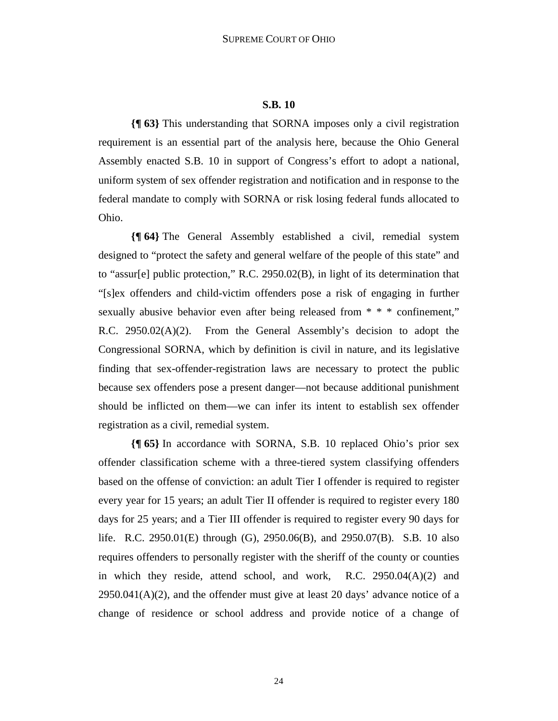#### **S.B. 10**

**{¶ 63}** This understanding that SORNA imposes only a civil registration requirement is an essential part of the analysis here, because the Ohio General Assembly enacted S.B. 10 in support of Congress's effort to adopt a national, uniform system of sex offender registration and notification and in response to the federal mandate to comply with SORNA or risk losing federal funds allocated to Ohio.

**{¶ 64}** The General Assembly established a civil, remedial system designed to "protect the safety and general welfare of the people of this state" and to "assur[e] public protection," R.C. 2950.02(B), in light of its determination that "[s]ex offenders and child-victim offenders pose a risk of engaging in further sexually abusive behavior even after being released from \* \* \* confinement," R.C. 2950.02(A)(2). From the General Assembly's decision to adopt the Congressional SORNA, which by definition is civil in nature, and its legislative finding that sex-offender-registration laws are necessary to protect the public because sex offenders pose a present danger—not because additional punishment should be inflicted on them—we can infer its intent to establish sex offender registration as a civil, remedial system.

**{¶ 65}** In accordance with SORNA, S.B. 10 replaced Ohio's prior sex offender classification scheme with a three-tiered system classifying offenders based on the offense of conviction: an adult Tier I offender is required to register every year for 15 years; an adult Tier II offender is required to register every 180 days for 25 years; and a Tier III offender is required to register every 90 days for life. R.C. 2950.01(E) through (G), 2950.06(B), and 2950.07(B). S.B. 10 also requires offenders to personally register with the sheriff of the county or counties in which they reside, attend school, and work, R.C. 2950.04(A)(2) and  $2950.041(A)(2)$ , and the offender must give at least 20 days' advance notice of a change of residence or school address and provide notice of a change of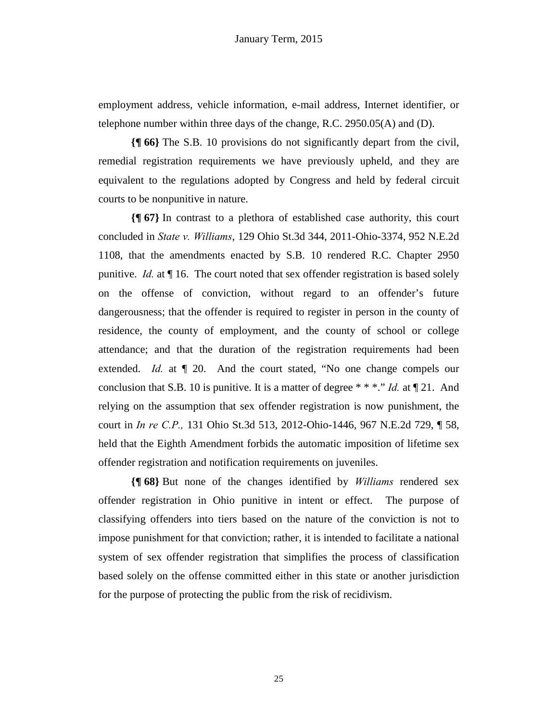employment address, vehicle information, e-mail address, Internet identifier, or telephone number within three days of the change, R.C. 2950.05(A) and (D).

**{¶ 66}** The S.B. 10 provisions do not significantly depart from the civil, remedial registration requirements we have previously upheld, and they are equivalent to the regulations adopted by Congress and held by federal circuit courts to be nonpunitive in nature.

**{¶ 67}** In contrast to a plethora of established case authority, this court concluded in *State v. Williams*, 129 Ohio St.3d 344, 2011-Ohio-3374, 952 N.E.2d 1108, that the amendments enacted by S.B. 10 rendered R.C. Chapter 2950 punitive. *Id.* at ¶ 16. The court noted that sex offender registration is based solely on the offense of conviction, without regard to an offender's future dangerousness; that the offender is required to register in person in the county of residence, the county of employment, and the county of school or college attendance; and that the duration of the registration requirements had been extended. *Id.* at  $\P$  20. And the court stated, "No one change compels our conclusion that S.B. 10 is punitive. It is a matter of degree \* \* \*." *Id.* at ¶ 21. And relying on the assumption that sex offender registration is now punishment, the court in *In re C.P.,* 131 Ohio St.3d 513, 2012-Ohio-1446, 967 N.E.2d 729, ¶ 58, held that the Eighth Amendment forbids the automatic imposition of lifetime sex offender registration and notification requirements on juveniles.

**{¶ 68}** But none of the changes identified by *Williams* rendered sex offender registration in Ohio punitive in intent or effect. The purpose of classifying offenders into tiers based on the nature of the conviction is not to impose punishment for that conviction; rather, it is intended to facilitate a national system of sex offender registration that simplifies the process of classification based solely on the offense committed either in this state or another jurisdiction for the purpose of protecting the public from the risk of recidivism.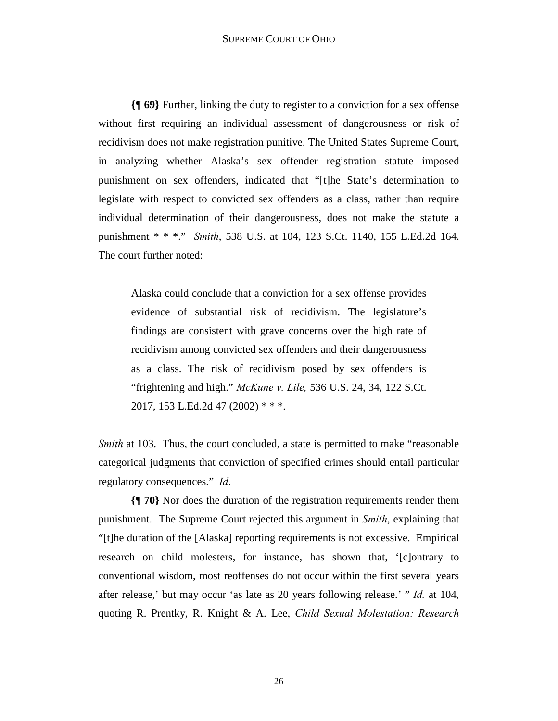**{¶ 69}** Further, linking the duty to register to a conviction for a sex offense without first requiring an individual assessment of dangerousness or risk of recidivism does not make registration punitive. The United States Supreme Court, in analyzing whether Alaska's sex offender registration statute imposed punishment on sex offenders, indicated that "[t]he State's determination to legislate with respect to convicted sex offenders as a class, rather than require individual determination of their dangerousness, does not make the statute a punishment \* \* \*." *Smith*, 538 U.S. at 104, 123 S.Ct. 1140, 155 L.Ed.2d 164. The court further noted:

Alaska could conclude that a conviction for a sex offense provides evidence of substantial risk of recidivism. The legislature's findings are consistent with grave concerns over the high rate of recidivism among convicted sex offenders and their dangerousness as a class. The risk of recidivism posed by sex offenders is "frightening and high." *McKune v. Lile,* 536 U.S. 24, 34, 122 S.Ct. 2017, 153 L.Ed.2d 47 (2002) \* \* \*.

*Smith* at 103. Thus, the court concluded, a state is permitted to make "reasonable" categorical judgments that conviction of specified crimes should entail particular regulatory consequences." *Id*.

**{¶ 70}** Nor does the duration of the registration requirements render them punishment. The Supreme Court rejected this argument in *Smith*, explaining that "[t]he duration of the [Alaska] reporting requirements is not excessive. Empirical research on child molesters, for instance, has shown that, '[c]ontrary to conventional wisdom, most reoffenses do not occur within the first several years after release,' but may occur 'as late as 20 years following release.' " *Id.* at 104, quoting R. Prentky, R. Knight & A. Lee, *Child Sexual Molestation: Research*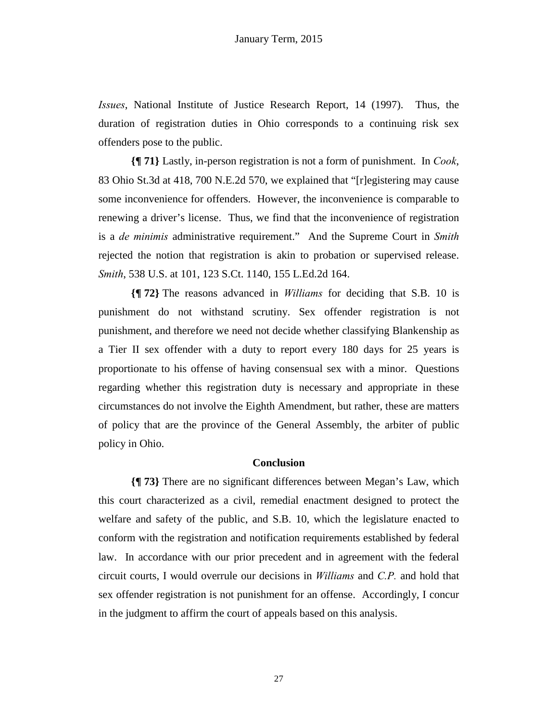*Issues*, National Institute of Justice Research Report, 14 (1997). Thus, the duration of registration duties in Ohio corresponds to a continuing risk sex offenders pose to the public.

**{¶ 71}** Lastly, in-person registration is not a form of punishment. In *Cook*, 83 Ohio St.3d at 418, 700 N.E.2d 570, we explained that "[r]egistering may cause some inconvenience for offenders. However, the inconvenience is comparable to renewing a driver's license. Thus, we find that the inconvenience of registration is a *de minimis* administrative requirement." And the Supreme Court in *Smith* rejected the notion that registration is akin to probation or supervised release. *Smith*, 538 U.S. at 101, 123 S.Ct. 1140, 155 L.Ed.2d 164.

**{¶ 72}** The reasons advanced in *Williams* for deciding that S.B. 10 is punishment do not withstand scrutiny. Sex offender registration is not punishment, and therefore we need not decide whether classifying Blankenship as a Tier II sex offender with a duty to report every 180 days for 25 years is proportionate to his offense of having consensual sex with a minor. Questions regarding whether this registration duty is necessary and appropriate in these circumstances do not involve the Eighth Amendment, but rather, these are matters of policy that are the province of the General Assembly, the arbiter of public policy in Ohio.

# **Conclusion**

**{¶ 73}** There are no significant differences between Megan's Law, which this court characterized as a civil, remedial enactment designed to protect the welfare and safety of the public, and S.B. 10, which the legislature enacted to conform with the registration and notification requirements established by federal law. In accordance with our prior precedent and in agreement with the federal circuit courts, I would overrule our decisions in *Williams* and *C.P.* and hold that sex offender registration is not punishment for an offense. Accordingly, I concur in the judgment to affirm the court of appeals based on this analysis.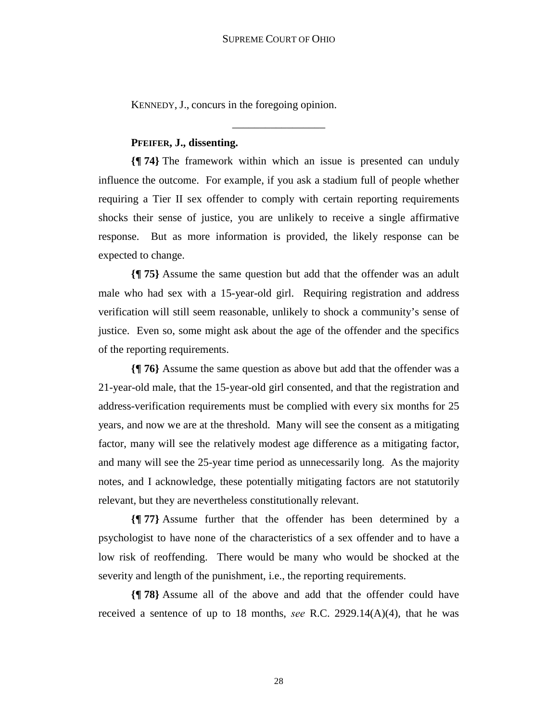KENNEDY, J., concurs in the foregoing opinion.

### **PFEIFER, J., dissenting.**

**{¶ 74}** The framework within which an issue is presented can unduly influence the outcome. For example, if you ask a stadium full of people whether requiring a Tier II sex offender to comply with certain reporting requirements shocks their sense of justice, you are unlikely to receive a single affirmative response. But as more information is provided, the likely response can be expected to change.

\_\_\_\_\_\_\_\_\_\_\_\_\_\_\_\_\_

**{¶ 75}** Assume the same question but add that the offender was an adult male who had sex with a 15-year-old girl. Requiring registration and address verification will still seem reasonable, unlikely to shock a community's sense of justice. Even so, some might ask about the age of the offender and the specifics of the reporting requirements.

**{¶ 76}** Assume the same question as above but add that the offender was a 21-year-old male, that the 15-year-old girl consented, and that the registration and address-verification requirements must be complied with every six months for 25 years, and now we are at the threshold. Many will see the consent as a mitigating factor, many will see the relatively modest age difference as a mitigating factor, and many will see the 25-year time period as unnecessarily long. As the majority notes, and I acknowledge, these potentially mitigating factors are not statutorily relevant, but they are nevertheless constitutionally relevant.

**{¶ 77}** Assume further that the offender has been determined by a psychologist to have none of the characteristics of a sex offender and to have a low risk of reoffending. There would be many who would be shocked at the severity and length of the punishment, i.e., the reporting requirements.

**{¶ 78}** Assume all of the above and add that the offender could have received a sentence of up to 18 months, *see* R.C. 2929.14(A)(4), that he was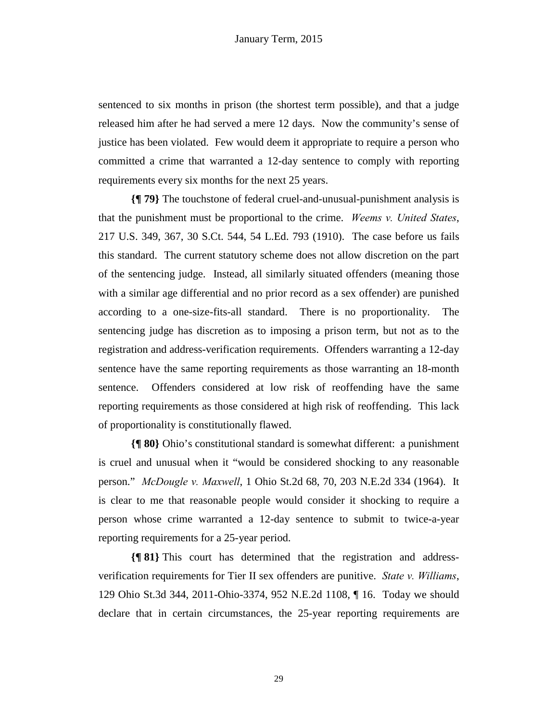sentenced to six months in prison (the shortest term possible), and that a judge released him after he had served a mere 12 days. Now the community's sense of justice has been violated. Few would deem it appropriate to require a person who committed a crime that warranted a 12-day sentence to comply with reporting requirements every six months for the next 25 years.

**{¶ 79}** The touchstone of federal cruel-and-unusual-punishment analysis is that the punishment must be proportional to the crime. *Weems v. United States*, 217 U.S. 349, 367, 30 S.Ct. 544, 54 L.Ed. 793 (1910). The case before us fails this standard. The current statutory scheme does not allow discretion on the part of the sentencing judge. Instead, all similarly situated offenders (meaning those with a similar age differential and no prior record as a sex offender) are punished according to a one-size-fits-all standard. There is no proportionality. The sentencing judge has discretion as to imposing a prison term, but not as to the registration and address-verification requirements. Offenders warranting a 12-day sentence have the same reporting requirements as those warranting an 18-month sentence. Offenders considered at low risk of reoffending have the same reporting requirements as those considered at high risk of reoffending. This lack of proportionality is constitutionally flawed.

**{¶ 80}** Ohio's constitutional standard is somewhat different: a punishment is cruel and unusual when it "would be considered shocking to any reasonable person." *McDougle v. Maxwell*, 1 Ohio St.2d 68, 70, 203 N.E.2d 334 (1964). It is clear to me that reasonable people would consider it shocking to require a person whose crime warranted a 12-day sentence to submit to twice-a-year reporting requirements for a 25-year period.

**{¶ 81}** This court has determined that the registration and addressverification requirements for Tier II sex offenders are punitive. *State v. Williams*, 129 Ohio St.3d 344, 2011-Ohio-3374, 952 N.E.2d 1108, ¶ 16. Today we should declare that in certain circumstances, the 25-year reporting requirements are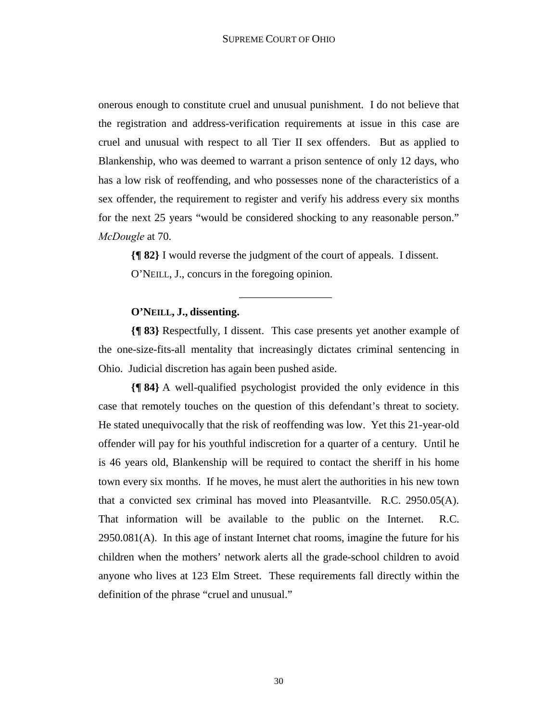onerous enough to constitute cruel and unusual punishment. I do not believe that the registration and address-verification requirements at issue in this case are cruel and unusual with respect to all Tier II sex offenders. But as applied to Blankenship, who was deemed to warrant a prison sentence of only 12 days, who has a low risk of reoffending, and who possesses none of the characteristics of a sex offender, the requirement to register and verify his address every six months for the next 25 years "would be considered shocking to any reasonable person." *McDougle* at 70.

**{¶ 82}** I would reverse the judgment of the court of appeals. I dissent. O'NEILL, J., concurs in the foregoing opinion.

\_\_\_\_\_\_\_\_\_\_\_\_\_\_\_\_\_

### **O'NEILL, J., dissenting.**

**{¶ 83}** Respectfully, I dissent. This case presents yet another example of the one-size-fits-all mentality that increasingly dictates criminal sentencing in Ohio. Judicial discretion has again been pushed aside.

**{¶ 84}** A well-qualified psychologist provided the only evidence in this case that remotely touches on the question of this defendant's threat to society. He stated unequivocally that the risk of reoffending was low. Yet this 21-year-old offender will pay for his youthful indiscretion for a quarter of a century. Until he is 46 years old, Blankenship will be required to contact the sheriff in his home town every six months. If he moves, he must alert the authorities in his new town that a convicted sex criminal has moved into Pleasantville. R.C. 2950.05(A). That information will be available to the public on the Internet. R.C. 2950.081(A). In this age of instant Internet chat rooms, imagine the future for his children when the mothers' network alerts all the grade-school children to avoid anyone who lives at 123 Elm Street. These requirements fall directly within the definition of the phrase "cruel and unusual."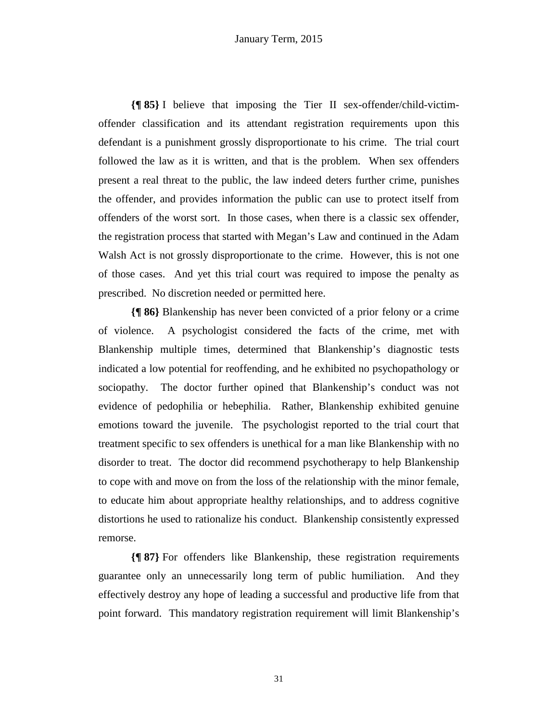**{¶ 85}** I believe that imposing the Tier II sex-offender/child-victimoffender classification and its attendant registration requirements upon this defendant is a punishment grossly disproportionate to his crime. The trial court followed the law as it is written, and that is the problem. When sex offenders present a real threat to the public, the law indeed deters further crime, punishes the offender, and provides information the public can use to protect itself from offenders of the worst sort. In those cases, when there is a classic sex offender, the registration process that started with Megan's Law and continued in the Adam Walsh Act is not grossly disproportionate to the crime. However, this is not one of those cases. And yet this trial court was required to impose the penalty as prescribed. No discretion needed or permitted here.

**{¶ 86}** Blankenship has never been convicted of a prior felony or a crime of violence. A psychologist considered the facts of the crime, met with Blankenship multiple times, determined that Blankenship's diagnostic tests indicated a low potential for reoffending, and he exhibited no psychopathology or sociopathy. The doctor further opined that Blankenship's conduct was not evidence of pedophilia or hebephilia. Rather, Blankenship exhibited genuine emotions toward the juvenile. The psychologist reported to the trial court that treatment specific to sex offenders is unethical for a man like Blankenship with no disorder to treat. The doctor did recommend psychotherapy to help Blankenship to cope with and move on from the loss of the relationship with the minor female, to educate him about appropriate healthy relationships, and to address cognitive distortions he used to rationalize his conduct. Blankenship consistently expressed remorse.

**{¶ 87}** For offenders like Blankenship, these registration requirements guarantee only an unnecessarily long term of public humiliation. And they effectively destroy any hope of leading a successful and productive life from that point forward. This mandatory registration requirement will limit Blankenship's